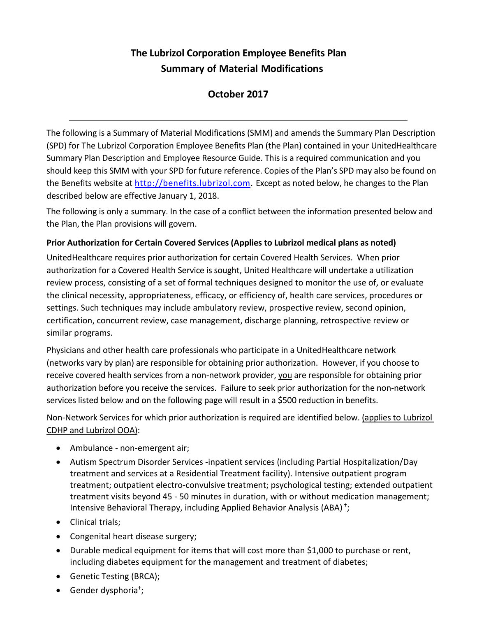# **The Lubrizol Corporation Employee Benefits Plan Summary of Material Modifications**

## **October 2017**

The following is a Summary of Material Modifications (SMM) and amends the Summary Plan Description (SPD) for The Lubrizol Corporation Employee Benefits Plan (the Plan) contained in your UnitedHealthcare Summary Plan Description and Employee Resource Guide. This is a required communication and you should keep this SMM with your SPD for future reference. Copies of the Plan's SPD may also be found on the Benefits website at [http://benefits.lubrizol.com.](http://benefits.lubrizol.com/) Except as noted below, he changes to the Plan described below are effective January 1, 2018.

The following is only a summary. In the case of a conflict between the information presented below and the Plan, the Plan provisions will govern.

#### **Prior Authorization for Certain Covered Services (Applies to Lubrizol medical plans as noted)**

UnitedHealthcare requires prior authorization for certain Covered Health Services. When prior authorization for a Covered Health Service is sought, United Healthcare will undertake a utilization review process, consisting of a set of formal techniques designed to monitor the use of, or evaluate the clinical necessity, appropriateness, efficacy, or efficiency of, health care services, procedures or settings. Such techniques may include ambulatory review, prospective review, second opinion, certification, concurrent review, case management, discharge planning, retrospective review or similar programs.

Physicians and other health care professionals who participate in a UnitedHealthcare network (networks vary by plan) are responsible for obtaining prior authorization. However, if you choose to receive covered health services from a non-network provider, you are responsible for obtaining prior authorization before you receive the services. Failure to seek prior authorization for the non-network services listed below and on the following page will result in a \$500 reduction in benefits.

Non-Network Services for which prior authorization is required are identified below. (applies to Lubrizol CDHP and Lubrizol OOA):

- Ambulance non-emergent air;
- Autism Spectrum Disorder Services -inpatient services (including Partial Hospitalization/Day treatment and services at a Residential Treatment facility). Intensive outpatient program treatment; outpatient electro-convulsive treatment; psychological testing; extended outpatient treatment visits beyond 45 - 50 minutes in duration, with or without medication management; Intensive Behavioral Therapy, including Applied Behavior Analysis (ABA) † ;
- Clinical trials;
- Congenital heart disease surgery;
- Durable medical equipment for items that will cost more than \$1,000 to purchase or rent, including diabetes equipment for the management and treatment of diabetes;
- Genetic Testing (BRCA);
- Gender dysphoria<sup>†</sup>;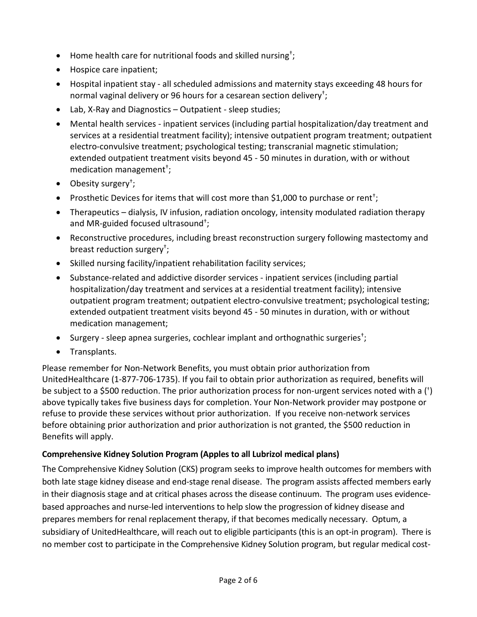- $\bullet$  Home health care for nutritional foods and skilled nursing<sup>†</sup>;
- Hospice care inpatient;
- Hospital inpatient stay all scheduled admissions and maternity stays exceeding 48 hours for normal vaginal delivery or 96 hours for a cesarean section delivery†;
- Lab, X-Ray and Diagnostics Outpatient sleep studies;
- Mental health services inpatient services (including partial hospitalization/day treatment and services at a residential treatment facility); intensive outpatient program treatment; outpatient electro-convulsive treatment; psychological testing; transcranial magnetic stimulation; extended outpatient treatment visits beyond 45 - 50 minutes in duration, with or without medication management†;
- Obesity surgery<sup>+</sup>;
- Prosthetic Devices for items that will cost more than \$1,000 to purchase or rent<sup>+</sup>;
- Therapeutics dialysis, IV infusion, radiation oncology, intensity modulated radiation therapy and MR-guided focused ultrasound†;
- Reconstructive procedures, including breast reconstruction surgery following mastectomy and breast reduction surgery†;
- Skilled nursing facility/inpatient rehabilitation facility services;
- Substance-related and addictive disorder services inpatient services (including partial hospitalization/day treatment and services at a residential treatment facility); intensive outpatient program treatment; outpatient electro-convulsive treatment; psychological testing; extended outpatient treatment visits beyond 45 - 50 minutes in duration, with or without medication management;
- Surgery sleep apnea surgeries, cochlear implant and orthognathic surgeries<sup>†</sup>;
- Transplants.

Please remember for Non-Network Benefits, you must obtain prior authorization from UnitedHealthcare (1-877-706-1735). If you fail to obtain prior authorization as required, benefits will be subject to a \$500 reduction. The prior authorization process for non-urgent services noted with a (<sup>†</sup>) above typically takes five business days for completion. Your Non-Network provider may postpone or refuse to provide these services without prior authorization. If you receive non-network services before obtaining prior authorization and prior authorization is not granted, the \$500 reduction in Benefits will apply.

#### **Comprehensive Kidney Solution Program (Apples to all Lubrizol medical plans)**

The Comprehensive Kidney Solution (CKS) program seeks to improve health outcomes for members with both late stage kidney disease and end-stage renal disease. The program assists affected members early in their diagnosis stage and at critical phases across the disease continuum. The program uses evidencebased approaches and nurse-led interventions to help slow the progression of kidney disease and prepares members for renal replacement therapy, if that becomes medically necessary. Optum, a subsidiary of UnitedHealthcare, will reach out to eligible participants (this is an opt-in program). There is no member cost to participate in the Comprehensive Kidney Solution program, but regular medical cost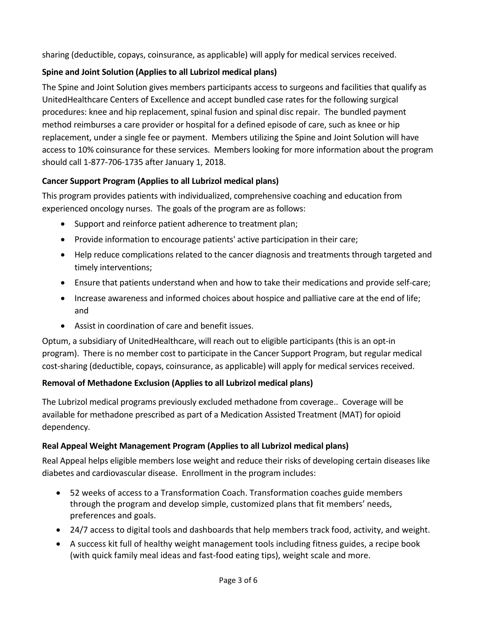sharing (deductible, copays, coinsurance, as applicable) will apply for medical services received.

## **Spine and Joint Solution (Applies to all Lubrizol medical plans)**

The Spine and Joint Solution gives members participants access to surgeons and facilities that qualify as UnitedHealthcare Centers of Excellence and accept bundled case rates for the following surgical procedures: knee and hip replacement, spinal fusion and spinal disc repair. The bundled payment method reimburses a care provider or hospital for a defined episode of care, such as knee or hip replacement, under a single fee or payment. Members utilizing the Spine and Joint Solution will have access to 10% coinsurance for these services. Members looking for more information about the program should call 1-877-706-1735 after January 1, 2018.

## **Cancer Support Program (Applies to all Lubrizol medical plans)**

This program provides patients with individualized, comprehensive coaching and education from experienced oncology nurses. The goals of the program are as follows:

- Support and reinforce patient adherence to treatment plan;
- Provide information to encourage patients' active participation in their care;
- Help reduce complications related to the cancer diagnosis and treatments through targeted and timely interventions;
- Ensure that patients understand when and how to take their medications and provide self-care;
- Increase awareness and informed choices about hospice and palliative care at the end of life; and
- Assist in coordination of care and benefit issues.

Optum, a subsidiary of UnitedHealthcare, will reach out to eligible participants (this is an opt-in program). There is no member cost to participate in the Cancer Support Program, but regular medical cost-sharing (deductible, copays, coinsurance, as applicable) will apply for medical services received.

## **Removal of Methadone Exclusion (Applies to all Lubrizol medical plans)**

The Lubrizol medical programs previously excluded methadone from coverage.. Coverage will be available for methadone prescribed as part of a Medication Assisted Treatment (MAT) for opioid dependency.

## **Real Appeal Weight Management Program (Applies to all Lubrizol medical plans)**

Real Appeal helps eligible members lose weight and reduce their risks of developing certain diseases like diabetes and cardiovascular disease. Enrollment in the program includes:

- 52 weeks of access to a Transformation Coach. Transformation coaches guide members through the program and develop simple, customized plans that fit members' needs, preferences and goals.
- 24/7 access to digital tools and dashboards that help members track food, activity, and weight.
- A success kit full of healthy weight management tools including fitness guides, a recipe book (with quick family meal ideas and fast-food eating tips), weight scale and more.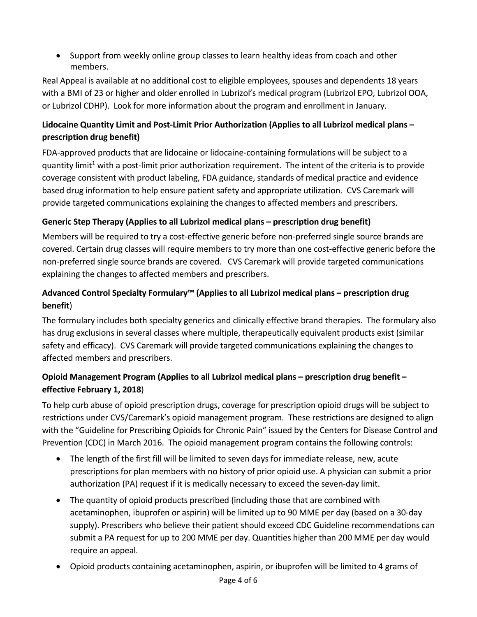• Support from weekly online group classes to learn healthy ideas from coach and other members.

Real Appeal is available at no additional cost to eligible employees, spouses and dependents 18 years with a BMI of 23 or higher and older enrolled in Lubrizol's medical program (Lubrizol EPO, Lubrizol OOA, or Lubrizol CDHP). Look for more information about the program and enrollment in January.

## **Lidocaine Quantity Limit and Post-Limit Prior Authorization (Applies to all Lubrizol medical plans – prescription drug benefit)**

FDA-approved products that are lidocaine or lidocaine-containing formulations will be subject to a quantity limit<sup>1</sup> with a post-limit prior authorization requirement. The intent of the criteria is to provide coverage consistent with product labeling, FDA guidance, standards of medical practice and evidence based drug information to help ensure patient safety and appropriate utilization. CVS Caremark will provide targeted communications explaining the changes to affected members and prescribers.

## **Generic Step Therapy (Applies to all Lubrizol medical plans – prescription drug benefit)**

Members will be required to try a cost-effective generic before non-preferred single source brands are covered. Certain drug classes will require members to try more than one cost-effective generic before the non-preferred single source brands are covered. CVS Caremark will provide targeted communications explaining the changes to affected members and prescribers.

#### **Advanced Control Specialty Formulary™ (Applies to all Lubrizol medical plans – prescription drug benefit**)

The formulary includes both specialty generics and clinically effective brand therapies. The formulary also has drug exclusions in several classes where multiple, therapeutically equivalent products exist (similar safety and efficacy). CVS Caremark will provide targeted communications explaining the changes to affected members and prescribers.

## **Opioid Management Program (Applies to all Lubrizol medical plans – prescription drug benefit – effective February 1, 2018**)

To help curb abuse of opioid prescription drugs, coverage for prescription opioid drugs will be subject to restrictions under CVS/Caremark's opioid management program. These restrictions are designed to align with the "Guideline for Prescribing Opioids for Chronic Pain" issued by the Centers for Disease Control and Prevention (CDC) in March 2016. The opioid management program contains the following controls:

- The length of the first fill will be limited to seven days for immediate release, new, acute prescriptions for plan members with no history of prior opioid use. A physician can submit a prior authorization (PA) request if it is medically necessary to exceed the seven-day limit.
- The quantity of opioid products prescribed (including those that are combined with acetaminophen, ibuprofen or aspirin) will be limited up to 90 MME per day (based on a 30-day supply). Prescribers who believe their patient should exceed CDC Guideline recommendations can submit a PA request for up to 200 MME per day. Quantities higher than 200 MME per day would require an appeal.
- Opioid products containing acetaminophen, aspirin, or ibuprofen will be limited to 4 grams of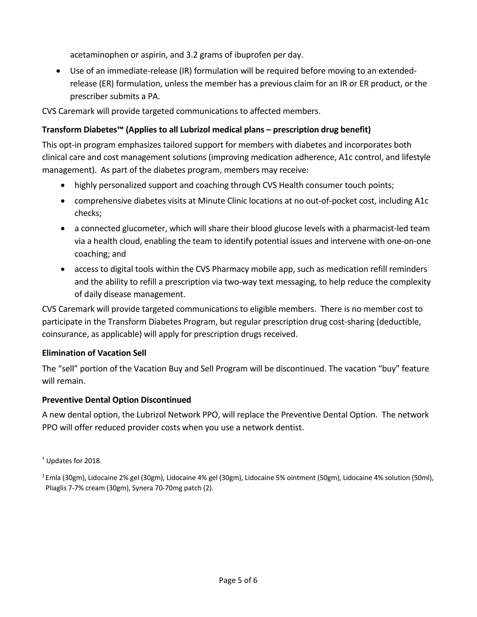acetaminophen or aspirin, and 3.2 grams of ibuprofen per day.

• Use of an immediate-release (IR) formulation will be required before moving to an extendedrelease (ER) formulation, unless the member has a previous claim for an IR or ER product, or the prescriber submits a PA.

CVS Caremark will provide targeted communications to affected members.

#### **Transform Diabetes™ (Applies to all Lubrizol medical plans – prescription drug benefit)**

This opt-in program emphasizes tailored support for members with diabetes and incorporates both clinical care and cost management solutions (improving medication adherence, A1c control, and lifestyle management). As part of the diabetes program, members may receive:

- highly personalized support and coaching through CVS Health consumer touch points;
- comprehensive diabetes visits at Minute Clinic locations at no out-of-pocket cost, including A1c checks;
- a connected glucometer, which will share their blood glucose levels with a pharmacist-led team via a health cloud, enabling the team to identify potential issues and intervene with one-on-one coaching; and
- access to digital tools within the CVS Pharmacy mobile app, such as medication refill reminders and the ability to refill a prescription via two-way text messaging, to help reduce the complexity of daily disease management.

CVS Caremark will provide targeted communications to eligible members. There is no member cost to participate in the Transform Diabetes Program, but regular prescription drug cost-sharing (deductible, coinsurance, as applicable) will apply for prescription drugs received.

#### **Elimination of Vacation Sell**

The "sell" portion of the Vacation Buy and Sell Program will be discontinued. The vacation "buy" feature will remain.

#### **Preventive Dental Option Discontinued**

A new dental option, the Lubrizol Network PPO, will replace the Preventive Dental Option. The network PPO will offer reduced provider costs when you use a network dentist.

† Updates for 2018.

1 Emla (30gm), Lidocaine 2% gel (30gm), Lidocaine 4% gel (30gm), Lidocaine 5% ointment (50gm), Lidocaine 4% solution (50ml), Pliaglis 7-7% cream (30gm), Synera 70-70mg patch (2).